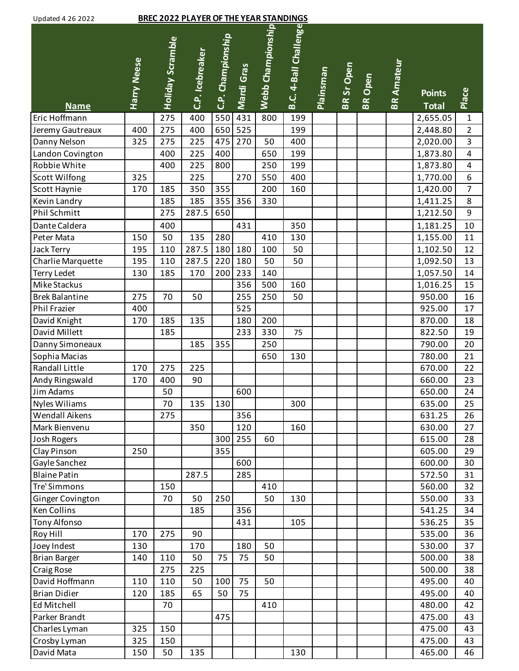| Updated 4 26 2022 |  |  |
|-------------------|--|--|
|                   |  |  |

## Updated 4 26 2022 **BREC 2022 PLAYER OF THE YEAR STANDINGS**

| Updated 4 Zb ZUZZ     |                    |                  | <u>BREC 2022 PLATER OF THE TEAR STANDINGS</u> |                   |            |                   |                       |                  |                   |                |                   |                               |                         |
|-----------------------|--------------------|------------------|-----------------------------------------------|-------------------|------------|-------------------|-----------------------|------------------|-------------------|----------------|-------------------|-------------------------------|-------------------------|
| <b>Name</b>           | <b>Harry Neese</b> | Holiday Scramble | C.P. Icebreaker                               | C.P. Championship | Mardi Gras | Webb Championship | B.C. 4-Ball Challenge | <b>Plainsman</b> | <b>BR Sr Open</b> | <b>BR</b> Open | <b>BR Amateur</b> | <b>Points</b><br><b>Total</b> | Place                   |
| Eric Hoffmann         |                    | 275              | 400                                           | 550               | 431        | 800               | 199                   |                  |                   |                |                   | 2,655.05                      | $\mathbf{1}$            |
| Jeremy Gautreaux      | 400                | 275              | 400                                           | 650               | 525        |                   | 199                   |                  |                   |                |                   | 2,448.80                      | $\overline{2}$          |
| Danny Nelson          | 325                | 275              | 225                                           | 475               | 270        | 50                | 400                   |                  |                   |                |                   | 2,020.00                      | 3                       |
| Landon Covington      |                    | 400              | 225                                           | 400               |            | 650               | 199                   |                  |                   |                |                   | 1,873.80                      | $\overline{\mathbf{4}}$ |
| Robbie White          |                    | 400              | 225                                           | 800               |            | 250               | 199                   |                  |                   |                |                   | 1,873.80                      | $\overline{\mathbf{4}}$ |
| <b>Scott Wilfong</b>  | 325                |                  | 225                                           |                   | 270        | 550               | 400                   |                  |                   |                |                   | 1,770.00                      | 6                       |
| Scott Haynie          | 170                | 185              | 350                                           | 355               |            | 200               | 160                   |                  |                   |                |                   | 1,420.00                      | $\overline{7}$          |
| Kevin Landry          |                    | 185              | 185                                           | 355               | 356        | 330               |                       |                  |                   |                |                   | 1,411.25                      | $\,8\,$                 |
| Phil Schmitt          |                    | 275              | 287.5                                         | 650               |            |                   |                       |                  |                   |                |                   | 1,212.50                      | 9                       |
| Dante Caldera         |                    | 400              |                                               |                   | 431        |                   | 350                   |                  |                   |                |                   | 1,181.25                      | 10                      |
| Peter Mata            | 150                | 50               | 135                                           | 280               |            | 410               | 130                   |                  |                   |                |                   | 1,155.00                      | 11                      |
| <b>Jack Terry</b>     | 195                | 110              | 287.5                                         | 180               | 180        | 100               | 50                    |                  |                   |                |                   | 1,102.50                      | 12                      |
| Charlie Marquette     | 195                | 110              | 287.5                                         | 220               | 180        | 50                | 50                    |                  |                   |                |                   | 1,092.50                      | 13                      |
| <b>Terry Ledet</b>    | 130                | 185              | 170                                           | 200               | 233        | 140               |                       |                  |                   |                |                   | 1,057.50                      | 14                      |
| Mike Stackus          |                    |                  |                                               |                   | 356        | 500               | 160                   |                  |                   |                |                   | 1,016.25                      | 15                      |
| <b>Brek Balantine</b> | 275                | 70               | 50                                            |                   | 255        | 250               | 50                    |                  |                   |                |                   | 950.00                        | 16                      |
| Phil Frazier          | 400                |                  |                                               |                   | 525        |                   |                       |                  |                   |                |                   | 925.00                        | 17                      |
| David Knight          | 170                | 185              | 135                                           |                   | 180        | 200               |                       |                  |                   |                |                   | 870.00                        | 18                      |
| David Millett         |                    | 185              |                                               |                   | 233        | 330               | 75                    |                  |                   |                |                   | 822.50                        | 19                      |
| Danny Simoneaux       |                    |                  | 185                                           | 355               |            | 250               |                       |                  |                   |                |                   | 790.00                        | 20                      |
| Sophia Macias         |                    |                  |                                               |                   |            | 650               | 130                   |                  |                   |                |                   | 780.00                        | 21                      |
| <b>Randall Little</b> | 170                | 275              | 225                                           |                   |            |                   |                       |                  |                   |                |                   | 670.00                        | 22                      |
| Andy Ringswald        | 170                | 400              | 90                                            |                   |            |                   |                       |                  |                   |                |                   | 660.00                        | 23                      |
| Jim Adams             |                    | 50               |                                               |                   | 600        |                   |                       |                  |                   |                |                   | 650.00                        | 24                      |
| <b>Nyles Wiliams</b>  |                    | 70               | 135                                           | 130               |            |                   | 300                   |                  |                   |                |                   | 635.00                        | 25                      |
| <b>Wendall Aikens</b> |                    | 275              |                                               |                   | 356        |                   |                       |                  |                   |                |                   | 631.25                        | 26                      |
| Mark Bienvenu         |                    |                  | 350                                           |                   | 120        |                   | 160                   |                  |                   |                |                   | 630.00                        | 27                      |
| <b>Josh Rogers</b>    |                    |                  |                                               | 300               | 255        | 60                |                       |                  |                   |                |                   | 615.00                        | 28                      |
| Clay Pinson           | 250                |                  |                                               | 355               |            |                   |                       |                  |                   |                |                   | 605.00                        | 29                      |
| Gayle Sanchez         |                    |                  |                                               |                   | 600        |                   |                       |                  |                   |                |                   | 600.00                        | 30                      |
| <b>Blaine Patin</b>   |                    |                  | 287.5                                         |                   | 285        |                   |                       |                  |                   |                |                   | 572.50                        | 31                      |
| Tre' Simmons          |                    | 150              |                                               |                   |            | 410               |                       |                  |                   |                |                   | 560.00                        | 32                      |
| Ginger Covington      |                    | 70               | 50                                            | 250               |            | 50                | 130                   |                  |                   |                |                   | 550.00                        | 33                      |
| Ken Collins           |                    |                  | 185                                           |                   | 356        |                   |                       |                  |                   |                |                   | 541.25                        | 34                      |
| <b>Tony Alfonso</b>   |                    |                  |                                               |                   | 431        |                   | 105                   |                  |                   |                |                   | 536.25                        | 35                      |
| Roy Hill              | 170                | 275              | 90                                            |                   |            |                   |                       |                  |                   |                |                   | 535.00                        | 36                      |
| Joey Indest           | 130                |                  | 170                                           |                   | 180        | 50                |                       |                  |                   |                |                   | 530.00                        | 37                      |
| <b>Brian Barger</b>   | 140                | 110              | 50                                            | 75                | 75         | 50                |                       |                  |                   |                |                   | 500.00                        | 38                      |
| Craig Rose            |                    | 275              | 225                                           |                   |            |                   |                       |                  |                   |                |                   | 500.00                        | 38                      |
| David Hoffmann        | 110                | 110              | 50                                            | 100               | 75         | 50                |                       |                  |                   |                |                   | 495.00                        | 40                      |
| <b>Brian Didier</b>   | 120                | 185              | 65                                            | 50                | 75         |                   |                       |                  |                   |                |                   | 495.00                        | 40                      |
| Ed Mitchell           |                    | 70               |                                               |                   |            | 410               |                       |                  |                   |                |                   | 480.00                        | 42                      |
| Parker Brandt         |                    |                  |                                               | 475               |            |                   |                       |                  |                   |                |                   | 475.00                        | 43                      |
| Charles Lyman         | 325                | 150              |                                               |                   |            |                   |                       |                  |                   |                |                   | 475.00                        | 43                      |
| Crosby Lyman          | 325                | 150              |                                               |                   |            |                   |                       |                  |                   |                |                   | 475.00                        | 43                      |
| David Mata            | 150                | 50               | 135                                           |                   |            |                   | 130                   |                  |                   |                |                   | 465.00                        | 46                      |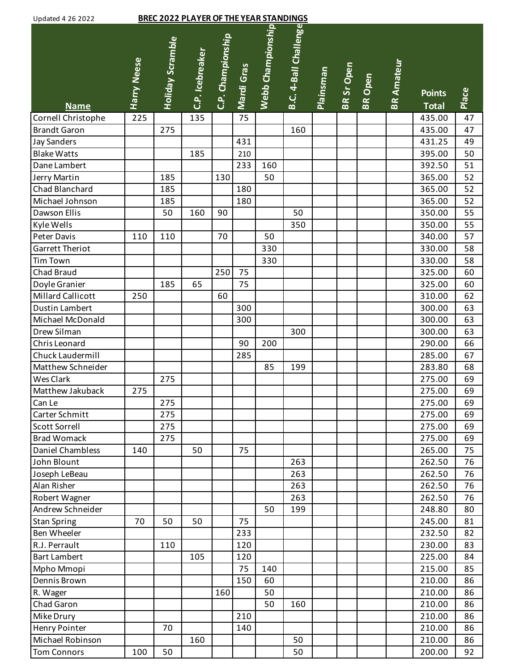| Updated 4 26 2022 |  |  |
|-------------------|--|--|
|                   |  |  |

# Updated 4 26 2022 **BREC 2022 PLAYER OF THE YEAR STANDINGS**

| Updated 4 26 2022      |                    |                  | <u>BREC 2022 PLAYER OF THE YEAR STANDINGS</u> |                   |            |                   |                       |                  |                   |                |                   |                               |       |
|------------------------|--------------------|------------------|-----------------------------------------------|-------------------|------------|-------------------|-----------------------|------------------|-------------------|----------------|-------------------|-------------------------------|-------|
| <b>Name</b>            | <b>Harry Neese</b> | Holiday Scramble | C.P. Icebreaker                               | C.P. Championship | Mardi Gras | Webb Championship | B.C. 4-Ball Challenge | <b>Plainsman</b> | <b>BR Sr Open</b> | <b>BR</b> Open | <b>BR Amateur</b> | <b>Points</b><br><b>Total</b> | Place |
| Cornell Christophe     | 225                |                  | 135                                           |                   | 75         |                   |                       |                  |                   |                |                   | 435.00                        | 47    |
| <b>Brandt Garon</b>    |                    | 275              |                                               |                   |            |                   | 160                   |                  |                   |                |                   | 435.00                        | 47    |
| <b>Jay Sanders</b>     |                    |                  |                                               |                   | 431        |                   |                       |                  |                   |                |                   | 431.25                        | 49    |
| <b>Blake Watts</b>     |                    |                  | 185                                           |                   | 210        |                   |                       |                  |                   |                |                   | 395.00                        | 50    |
| Dane Lambert           |                    |                  |                                               |                   | 233        | 160               |                       |                  |                   |                |                   | 392.50                        | 51    |
| Jerry Martin           |                    | 185              |                                               | 130               |            | 50                |                       |                  |                   |                |                   | 365.00                        | 52    |
| Chad Blanchard         |                    | 185              |                                               |                   | 180        |                   |                       |                  |                   |                |                   | 365.00                        | 52    |
| Michael Johnson        |                    | 185              |                                               |                   | 180        |                   |                       |                  |                   |                |                   | 365.00                        | 52    |
| Dawson Ellis           |                    | 50               | 160                                           | 90                |            |                   | 50                    |                  |                   |                |                   | 350.00                        | 55    |
| Kyle Wells             |                    |                  |                                               |                   |            |                   | 350                   |                  |                   |                |                   | 350.00                        | 55    |
| Peter Davis            | 110                | 110              |                                               | 70                |            | 50                |                       |                  |                   |                |                   | 340.00                        | 57    |
| <b>Garrett Theriot</b> |                    |                  |                                               |                   |            | 330               |                       |                  |                   |                |                   | 330.00                        | 58    |
| Tim Town               |                    |                  |                                               |                   |            | 330               |                       |                  |                   |                |                   | 330.00                        | 58    |
| <b>Chad Braud</b>      |                    |                  |                                               | 250               | 75         |                   |                       |                  |                   |                |                   | 325.00                        | 60    |
| Doyle Granier          |                    | 185              | 65                                            |                   | 75         |                   |                       |                  |                   |                |                   | 325.00                        | 60    |
| Millard Callicott      | 250                |                  |                                               | 60                |            |                   |                       |                  |                   |                |                   | 310.00                        | 62    |
| <b>Dustin Lambert</b>  |                    |                  |                                               |                   | 300        |                   |                       |                  |                   |                |                   | 300.00                        | 63    |
| Michael McDonald       |                    |                  |                                               |                   | 300        |                   |                       |                  |                   |                |                   | 300.00                        | 63    |
| Drew Silman            |                    |                  |                                               |                   |            |                   | 300                   |                  |                   |                |                   | 300.00                        | 63    |
| Chris Leonard          |                    |                  |                                               |                   | 90         | 200               |                       |                  |                   |                |                   | 290.00                        | 66    |
| Chuck Laudermill       |                    |                  |                                               |                   | 285        |                   |                       |                  |                   |                |                   | 285.00                        | 67    |
| Matthew Schneider      |                    |                  |                                               |                   |            | 85                | 199                   |                  |                   |                |                   | 283.80                        | 68    |
| <b>Wes Clark</b>       |                    | 275              |                                               |                   |            |                   |                       |                  |                   |                |                   | 275.00                        | 69    |
| Matthew Jakuback       | 275                |                  |                                               |                   |            |                   |                       |                  |                   |                |                   | 275.00                        | 69    |
| Can Le                 |                    | 275              |                                               |                   |            |                   |                       |                  |                   |                |                   | 275.00                        | 69    |
| <b>Carter Schmitt</b>  |                    | 275              |                                               |                   |            |                   |                       |                  |                   |                |                   | 275.00                        | 69    |
| <b>Scott Sorrell</b>   |                    | 275              |                                               |                   |            |                   |                       |                  |                   |                |                   | 275.00                        | 69    |
| <b>Brad Womack</b>     |                    | 275              |                                               |                   |            |                   |                       |                  |                   |                |                   | 275.00                        | 69    |
| Daniel Chambless       | 140                |                  | 50                                            |                   | 75         |                   |                       |                  |                   |                |                   | 265.00                        | 75    |
| John Blount            |                    |                  |                                               |                   |            |                   | 263                   |                  |                   |                |                   | 262.50                        | 76    |
| Joseph LeBeau          |                    |                  |                                               |                   |            |                   | 263                   |                  |                   |                |                   | 262.50                        | 76    |
| Alan Risher            |                    |                  |                                               |                   |            |                   | 263                   |                  |                   |                |                   | 262.50                        | 76    |
| Robert Wagner          |                    |                  |                                               |                   |            |                   | 263                   |                  |                   |                |                   | 262.50                        | 76    |
| Andrew Schneider       |                    |                  |                                               |                   |            | 50                | 199                   |                  |                   |                |                   | 248.80                        | 80    |
| <b>Stan Spring</b>     | 70                 | 50               | 50                                            |                   | 75         |                   |                       |                  |                   |                |                   | 245.00                        | 81    |
| <b>Ben Wheeler</b>     |                    |                  |                                               |                   | 233        |                   |                       |                  |                   |                |                   | 232.50                        | 82    |
| R.J. Perrault          |                    | 110              |                                               |                   | 120        |                   |                       |                  |                   |                |                   | 230.00                        | 83    |
| <b>Bart Lambert</b>    |                    |                  | 105                                           |                   | 120        |                   |                       |                  |                   |                |                   | 225.00                        | 84    |
| Mpho Mmopi             |                    |                  |                                               |                   | 75         | 140               |                       |                  |                   |                |                   | 215.00                        | 85    |
| Dennis Brown           |                    |                  |                                               |                   | 150        | 60                |                       |                  |                   |                |                   | 210.00                        | 86    |
| R. Wager               |                    |                  |                                               | 160               |            | 50                |                       |                  |                   |                |                   | 210.00                        | 86    |
| <b>Chad Garon</b>      |                    |                  |                                               |                   |            | 50                | 160                   |                  |                   |                |                   | 210.00                        | 86    |
| Mike Drury             |                    |                  |                                               |                   | 210        |                   |                       |                  |                   |                |                   | 210.00                        | 86    |
| <b>Henry Pointer</b>   |                    | 70               |                                               |                   | 140        |                   |                       |                  |                   |                |                   | 210.00                        | 86    |
| Michael Robinson       |                    |                  | 160                                           |                   |            |                   | 50                    |                  |                   |                |                   | 210.00                        | 86    |
| Tom Connors            | 100                | 50               |                                               |                   |            |                   | 50                    |                  |                   |                |                   | 200.00                        | 92    |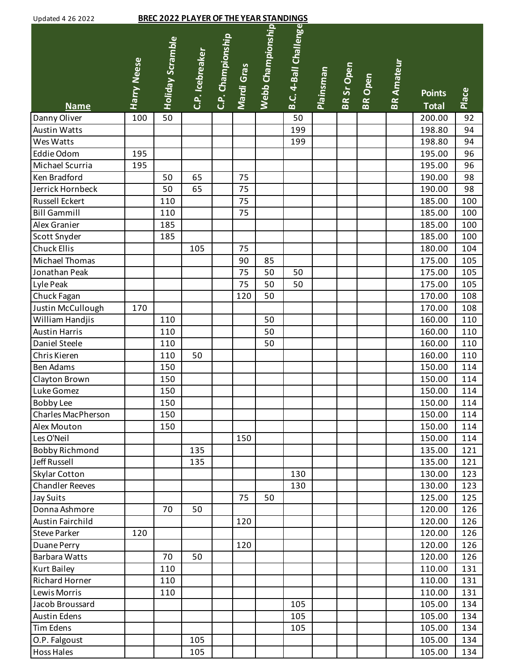| Updated 4 26 2022 |  |  |
|-------------------|--|--|
|                   |  |  |

| <b>Updated 4 26 2022</b>               |                    | <b>BREC 2022 PLAYER OF THE YEAR STANDINGS</b> |                 |                   |            |                   |                       |           |            |                |                   |                               |       |
|----------------------------------------|--------------------|-----------------------------------------------|-----------------|-------------------|------------|-------------------|-----------------------|-----------|------------|----------------|-------------------|-------------------------------|-------|
| <b>Name</b>                            | <b>Harry Neese</b> | <b>Holiday Scramble</b>                       | C.P. Icebreaker | C.P. Championship | Mardi Gras | Webb Championship | B.C. 4-Ball Challenge | Plainsman | BR Sr Open | <b>BR</b> Open | <b>BR Amateur</b> | <b>Points</b><br><b>Total</b> | Place |
| Danny Oliver                           | 100                | 50                                            |                 |                   |            |                   | 50                    |           |            |                |                   | 200.00                        | 92    |
| <b>Austin Watts</b>                    |                    |                                               |                 |                   |            |                   | 199                   |           |            |                |                   | 198.80                        | 94    |
| Wes Watts                              |                    |                                               |                 |                   |            |                   | 199                   |           |            |                |                   | 198.80                        | 94    |
| Eddie Odom                             | 195                |                                               |                 |                   |            |                   |                       |           |            |                |                   | 195.00                        | 96    |
| Michael Scurria                        | 195                |                                               |                 |                   |            |                   |                       |           |            |                |                   | 195.00                        | 96    |
| Ken Bradford                           |                    | 50                                            | 65              |                   | 75         |                   |                       |           |            |                |                   | 190.00                        | 98    |
| Jerrick Hornbeck                       |                    | 50                                            | 65              |                   | 75         |                   |                       |           |            |                |                   | 190.00                        | 98    |
| <b>Russell Eckert</b>                  |                    | 110                                           |                 |                   | 75         |                   |                       |           |            |                |                   | 185.00                        | 100   |
| <b>Bill Gammill</b>                    |                    | 110                                           |                 |                   | 75         |                   |                       |           |            |                |                   | 185.00                        | 100   |
| Alex Granier                           |                    | 185                                           |                 |                   |            |                   |                       |           |            |                |                   | 185.00                        | 100   |
| Scott Snyder                           |                    | 185                                           |                 |                   |            |                   |                       |           |            |                |                   | 185.00                        | 100   |
| <b>Chuck Ellis</b>                     |                    |                                               | 105             |                   | 75         |                   |                       |           |            |                |                   | 180.00                        | 104   |
| Michael Thomas                         |                    |                                               |                 |                   | 90         | 85                |                       |           |            |                |                   | 175.00                        | 105   |
| Jonathan Peak                          |                    |                                               |                 |                   | 75         | 50                | 50                    |           |            |                |                   | 175.00                        | 105   |
| Lyle Peak                              |                    |                                               |                 |                   | 75         | 50                | 50                    |           |            |                |                   | 175.00                        | 105   |
| Chuck Fagan                            |                    |                                               |                 |                   | 120        | 50                |                       |           |            |                |                   | 170.00                        | 108   |
| Justin McCullough                      | 170                |                                               |                 |                   |            |                   |                       |           |            |                |                   | 170.00                        | 108   |
| William Handjis                        |                    | 110                                           |                 |                   |            | 50                |                       |           |            |                |                   | 160.00                        | 110   |
| <b>Austin Harris</b>                   |                    | 110                                           |                 |                   |            | 50                |                       |           |            |                |                   | 160.00                        | 110   |
| Daniel Steele                          |                    | 110                                           |                 |                   |            | 50                |                       |           |            |                |                   | 160.00                        | 110   |
| Chris Kieren                           |                    | 110                                           | 50              |                   |            |                   |                       |           |            |                |                   | 160.00                        | 110   |
| <b>Ben Adams</b>                       |                    | 150                                           |                 |                   |            |                   |                       |           |            |                |                   | 150.00                        | 114   |
| Clayton Brown                          |                    | 150                                           |                 |                   |            |                   |                       |           |            |                |                   | 150.00                        | 114   |
| Luke Gomez                             |                    | 150                                           |                 |                   |            |                   |                       |           |            |                |                   |                               | 114   |
|                                        |                    | 150                                           |                 |                   |            |                   |                       |           |            |                |                   | 150.00<br>150.00              | 114   |
| <b>Bobby Lee</b><br>Charles MacPherson |                    |                                               |                 |                   |            |                   |                       |           |            |                |                   | 150.00                        |       |
|                                        |                    | 150                                           |                 |                   |            |                   |                       |           |            |                |                   |                               | 114   |
| Alex Mouton                            |                    | 150                                           |                 |                   |            |                   |                       |           |            |                |                   | 150.00                        | 114   |
| Les O'Neil                             |                    |                                               |                 |                   | 150        |                   |                       |           |            |                |                   | 150.00                        | 114   |
| <b>Bobby Richmond</b>                  |                    |                                               | 135             |                   |            |                   |                       |           |            |                |                   | 135.00                        | 121   |
| Jeff Russell                           |                    |                                               | 135             |                   |            |                   |                       |           |            |                |                   | 135.00                        | 121   |
| <b>Skylar Cotton</b>                   |                    |                                               |                 |                   |            |                   | 130                   |           |            |                |                   | 130.00                        | 123   |
| <b>Chandler Reeves</b>                 |                    |                                               |                 |                   |            |                   | 130                   |           |            |                |                   | 130.00                        | 123   |
| <b>Jay Suits</b>                       |                    |                                               |                 |                   | 75         | 50                |                       |           |            |                |                   | 125.00                        | 125   |
| Donna Ashmore                          |                    | 70                                            | 50              |                   |            |                   |                       |           |            |                |                   | 120.00                        | 126   |
| <b>Austin Fairchild</b>                |                    |                                               |                 |                   | 120        |                   |                       |           |            |                |                   | 120.00                        | 126   |
| <b>Steve Parker</b>                    | 120                |                                               |                 |                   |            |                   |                       |           |            |                |                   | 120.00                        | 126   |
| Duane Perry                            |                    |                                               |                 |                   | 120        |                   |                       |           |            |                |                   | 120.00                        | 126   |
| <b>Barbara Watts</b>                   |                    | 70                                            | 50              |                   |            |                   |                       |           |            |                |                   | 120.00                        | 126   |
| <b>Kurt Bailey</b>                     |                    | 110                                           |                 |                   |            |                   |                       |           |            |                |                   | 110.00                        | 131   |
| <b>Richard Horner</b>                  |                    | 110                                           |                 |                   |            |                   |                       |           |            |                |                   | 110.00                        | 131   |
| Lewis Morris                           |                    | 110                                           |                 |                   |            |                   |                       |           |            |                |                   | 110.00                        | 131   |
| Jacob Broussard                        |                    |                                               |                 |                   |            |                   | 105                   |           |            |                |                   | 105.00                        | 134   |
| <b>Austin Edens</b>                    |                    |                                               |                 |                   |            |                   | 105                   |           |            |                |                   | 105.00                        | 134   |
| <b>Tim Edens</b>                       |                    |                                               |                 |                   |            |                   | 105                   |           |            |                |                   | 105.00                        | 134   |
| O.P. Falgoust                          |                    |                                               | 105             |                   |            |                   |                       |           |            |                |                   | 105.00                        | 134   |
| <b>Hoss Hales</b>                      |                    |                                               | 105             |                   |            |                   |                       |           |            |                |                   | 105.00                        | 134   |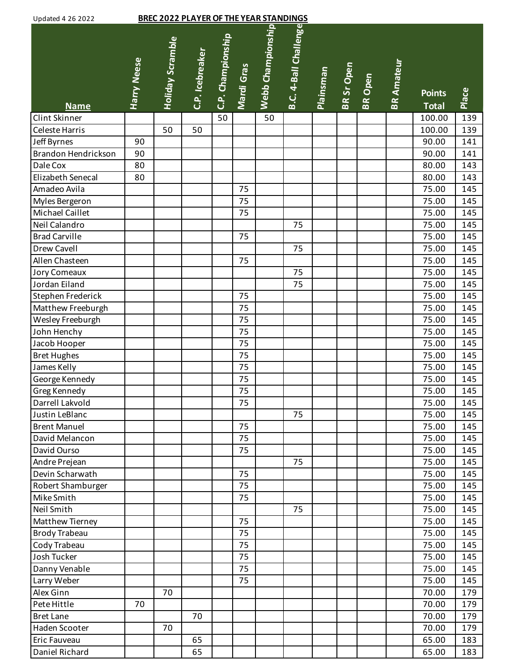| Updated 4 26 2022 |  |  |
|-------------------|--|--|
|                   |  |  |

| <b>Updated 4 26 2022</b> |                    |                  | <b>BREC 2022 PLAYER OF THE YEAR STANDINGS</b> |                   |            |                   |                       |           |            |                |                   |                               |       |
|--------------------------|--------------------|------------------|-----------------------------------------------|-------------------|------------|-------------------|-----------------------|-----------|------------|----------------|-------------------|-------------------------------|-------|
| <b>Name</b>              | <b>Harry Neese</b> | Holiday Scramble | C.P. Icebreaker                               | C.P. Championship | Mardi Gras | Webb Championship | B.C. 4-Ball Challenge | Plainsman | BR Sr Open | <b>BR</b> Open | <b>BR Amateur</b> | <b>Points</b><br><b>Total</b> | Place |
| Clint Skinner            |                    |                  |                                               | 50                |            | 50                |                       |           |            |                |                   | 100.00                        | 139   |
| Celeste Harris           |                    | 50               | 50                                            |                   |            |                   |                       |           |            |                |                   | 100.00                        | 139   |
| Jeff Byrnes              | 90                 |                  |                                               |                   |            |                   |                       |           |            |                |                   | 90.00                         | 141   |
| Brandon Hendrickson      | 90                 |                  |                                               |                   |            |                   |                       |           |            |                |                   | 90.00                         | 141   |
| Dale Cox                 | 80                 |                  |                                               |                   |            |                   |                       |           |            |                |                   | 80.00                         | 143   |
| Elizabeth Senecal        | 80                 |                  |                                               |                   |            |                   |                       |           |            |                |                   | 80.00                         | 143   |
| Amadeo Avila             |                    |                  |                                               |                   | 75         |                   |                       |           |            |                |                   | 75.00                         | 145   |
| Myles Bergeron           |                    |                  |                                               |                   | 75         |                   |                       |           |            |                |                   | 75.00                         | 145   |
| Michael Caillet          |                    |                  |                                               |                   | 75         |                   |                       |           |            |                |                   | 75.00                         | 145   |
| Neil Calandro            |                    |                  |                                               |                   |            |                   | 75                    |           |            |                |                   | 75.00                         | 145   |
| <b>Brad Carville</b>     |                    |                  |                                               |                   | 75         |                   |                       |           |            |                |                   | 75.00                         | 145   |
| Drew Cavell              |                    |                  |                                               |                   |            |                   | 75                    |           |            |                |                   | 75.00                         | 145   |
| Allen Chasteen           |                    |                  |                                               |                   | 75         |                   |                       |           |            |                |                   | 75.00                         | 145   |
| Jory Comeaux             |                    |                  |                                               |                   |            |                   | 75                    |           |            |                |                   | 75.00                         | 145   |
| Jordan Eiland            |                    |                  |                                               |                   |            |                   | 75                    |           |            |                |                   | 75.00                         | 145   |
| Stephen Frederick        |                    |                  |                                               |                   | 75         |                   |                       |           |            |                |                   | 75.00                         | 145   |
| Matthew Freeburgh        |                    |                  |                                               |                   | 75         |                   |                       |           |            |                |                   | 75.00                         | 145   |
| Wesley Freeburgh         |                    |                  |                                               |                   | 75         |                   |                       |           |            |                |                   | 75.00                         | 145   |
| John Henchy              |                    |                  |                                               |                   | 75         |                   |                       |           |            |                |                   | 75.00                         | 145   |
| Jacob Hooper             |                    |                  |                                               |                   | 75         |                   |                       |           |            |                |                   | 75.00                         | 145   |
| <b>Bret Hughes</b>       |                    |                  |                                               |                   | 75         |                   |                       |           |            |                |                   | 75.00                         | 145   |
| James Kelly              |                    |                  |                                               |                   | 75         |                   |                       |           |            |                |                   | 75.00                         | 145   |
| George Kennedy           |                    |                  |                                               |                   | 75         |                   |                       |           |            |                |                   | 75.00                         | 145   |
| Greg Kennedy             |                    |                  |                                               |                   | 75         |                   |                       |           |            |                |                   | 75.00                         | 145   |
| Darrell Lakvold          |                    |                  |                                               |                   | 75         |                   |                       |           |            |                |                   | 75.00                         | 145   |
| Justin LeBlanc           |                    |                  |                                               |                   |            |                   | 75                    |           |            |                |                   | 75.00                         | 145   |
| <b>Brent Manuel</b>      |                    |                  |                                               |                   | 75         |                   |                       |           |            |                |                   | 75.00                         | 145   |
| David Melancon           |                    |                  |                                               |                   | 75         |                   |                       |           |            |                |                   | 75.00                         | 145   |
| David Ourso              |                    |                  |                                               |                   | 75         |                   |                       |           |            |                |                   | 75.00                         | 145   |
| Andre Prejean            |                    |                  |                                               |                   |            |                   | 75                    |           |            |                |                   | 75.00                         | 145   |
| Devin Scharwath          |                    |                  |                                               |                   | 75         |                   |                       |           |            |                |                   | 75.00                         | 145   |
| Robert Shamburger        |                    |                  |                                               |                   | 75         |                   |                       |           |            |                |                   | 75.00                         | 145   |
| Mike Smith               |                    |                  |                                               |                   | 75         |                   |                       |           |            |                |                   | 75.00                         | 145   |
| Neil Smith               |                    |                  |                                               |                   |            |                   | 75                    |           |            |                |                   | 75.00                         | 145   |
| Matthew Tierney          |                    |                  |                                               |                   | 75         |                   |                       |           |            |                |                   | 75.00                         | 145   |
| <b>Brody Trabeau</b>     |                    |                  |                                               |                   | 75         |                   |                       |           |            |                |                   | 75.00                         | 145   |
| Cody Trabeau             |                    |                  |                                               |                   | 75         |                   |                       |           |            |                |                   | 75.00                         | 145   |
| Josh Tucker              |                    |                  |                                               |                   | 75         |                   |                       |           |            |                |                   | 75.00                         | 145   |
| Danny Venable            |                    |                  |                                               |                   | 75         |                   |                       |           |            |                |                   | 75.00                         | 145   |
| Larry Weber              |                    |                  |                                               |                   | 75         |                   |                       |           |            |                |                   | 75.00                         | 145   |
| Alex Ginn                |                    | 70               |                                               |                   |            |                   |                       |           |            |                |                   | 70.00                         | 179   |
| Pete Hittle              | 70                 |                  |                                               |                   |            |                   |                       |           |            |                |                   | 70.00                         | 179   |
| <b>Bret Lane</b>         |                    |                  | 70                                            |                   |            |                   |                       |           |            |                |                   | 70.00                         | 179   |
| Haden Scooter            |                    | 70               |                                               |                   |            |                   |                       |           |            |                |                   | 70.00                         | 179   |
| Eric Fauveau             |                    |                  | 65                                            |                   |            |                   |                       |           |            |                |                   | 65.00                         | 183   |
| Daniel Richard           |                    |                  | 65                                            |                   |            |                   |                       |           |            |                |                   | 65.00                         | 183   |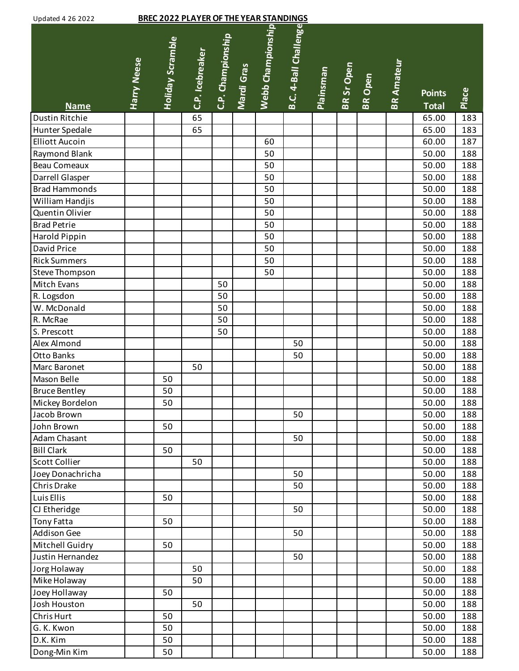| <b>Updated 4 26 2022</b> |                    | <b>BREC 2022 PLAYER OF THE YEAR STANDINGS</b> |                 |                   |            |                   |                       |                  |            |                |                   |                               |       |
|--------------------------|--------------------|-----------------------------------------------|-----------------|-------------------|------------|-------------------|-----------------------|------------------|------------|----------------|-------------------|-------------------------------|-------|
| <b>Name</b>              | <b>Harry Neese</b> | Holiday Scramble                              | C.P. Icebreaker | C.P. Championship | Mardi Gras | Webb Championship | B.C. 4-Ball Challenge | <b>Plainsman</b> | BR Sr Open | <b>BR</b> Open | <b>BR Amateur</b> | <b>Points</b><br><b>Total</b> | Place |
| <b>Dustin Ritchie</b>    |                    |                                               | 65              |                   |            |                   |                       |                  |            |                |                   | 65.00                         | 183   |
| <b>Hunter Spedale</b>    |                    |                                               | 65              |                   |            |                   |                       |                  |            |                |                   | 65.00                         | 183   |
| <b>Elliott Aucoin</b>    |                    |                                               |                 |                   |            | 60                |                       |                  |            |                |                   | 60.00                         | 187   |
| <b>Raymond Blank</b>     |                    |                                               |                 |                   |            | 50                |                       |                  |            |                |                   | 50.00                         | 188   |
| <b>Beau Comeaux</b>      |                    |                                               |                 |                   |            | 50                |                       |                  |            |                |                   | 50.00                         | 188   |
| Darrell Glasper          |                    |                                               |                 |                   |            | 50                |                       |                  |            |                |                   | 50.00                         | 188   |
| <b>Brad Hammonds</b>     |                    |                                               |                 |                   |            | 50                |                       |                  |            |                |                   | 50.00                         | 188   |
| William Handjis          |                    |                                               |                 |                   |            | 50                |                       |                  |            |                |                   | 50.00                         | 188   |
| Quentin Olivier          |                    |                                               |                 |                   |            | 50                |                       |                  |            |                |                   | 50.00                         | 188   |
| <b>Brad Petrie</b>       |                    |                                               |                 |                   |            | 50                |                       |                  |            |                |                   | 50.00                         | 188   |
| Harold Pippin            |                    |                                               |                 |                   |            | 50                |                       |                  |            |                |                   | 50.00                         | 188   |
| David Price              |                    |                                               |                 |                   |            | 50                |                       |                  |            |                |                   | 50.00                         | 188   |
| <b>Rick Summers</b>      |                    |                                               |                 |                   |            | 50                |                       |                  |            |                |                   | 50.00                         | 188   |
| Steve Thompson           |                    |                                               |                 |                   |            | 50                |                       |                  |            |                |                   | 50.00                         | 188   |
| <b>Mitch Evans</b>       |                    |                                               |                 | 50                |            |                   |                       |                  |            |                |                   | 50.00                         | 188   |
| R. Logsdon               |                    |                                               |                 | 50                |            |                   |                       |                  |            |                |                   | 50.00                         | 188   |
| W. McDonald              |                    |                                               |                 | 50                |            |                   |                       |                  |            |                |                   | 50.00                         | 188   |
| R. McRae                 |                    |                                               |                 | 50                |            |                   |                       |                  |            |                |                   | 50.00                         | 188   |
| S. Prescott              |                    |                                               |                 | 50                |            |                   |                       |                  |            |                |                   | 50.00                         | 188   |
| Alex Almond              |                    |                                               |                 |                   |            |                   | 50                    |                  |            |                |                   | 50.00                         | 188   |
| <b>Otto Banks</b>        |                    |                                               |                 |                   |            |                   | 50                    |                  |            |                |                   | 50.00                         | 188   |
| <b>Marc Baronet</b>      |                    |                                               | 50              |                   |            |                   |                       |                  |            |                |                   | 50.00                         | 188   |
| Mason Belle              |                    | 50                                            |                 |                   |            |                   |                       |                  |            |                |                   | 50.00                         | 188   |
| <b>Bruce Bentley</b>     |                    | 50                                            |                 |                   |            |                   |                       |                  |            |                |                   | 50.00                         | 188   |
| Mickey Bordelon          |                    | 50                                            |                 |                   |            |                   |                       |                  |            |                |                   | 50.00                         | 188   |
| Jacob Brown              |                    |                                               |                 |                   |            |                   | 50                    |                  |            |                |                   | 50.00                         | 188   |
| John Brown               |                    | 50                                            |                 |                   |            |                   |                       |                  |            |                |                   | 50.00                         | 188   |
| Adam Chasant             |                    |                                               |                 |                   |            |                   | 50                    |                  |            |                |                   | 50.00                         | 188   |
| <b>Bill Clark</b>        |                    | 50                                            |                 |                   |            |                   |                       |                  |            |                |                   | 50.00                         | 188   |
| <b>Scott Collier</b>     |                    |                                               | 50              |                   |            |                   |                       |                  |            |                |                   | 50.00                         | 188   |
| Joey Donachricha         |                    |                                               |                 |                   |            |                   | 50                    |                  |            |                |                   | 50.00                         | 188   |
| Chris Drake              |                    |                                               |                 |                   |            |                   | 50                    |                  |            |                |                   | 50.00                         | 188   |
| Luis Ellis               |                    | 50                                            |                 |                   |            |                   |                       |                  |            |                |                   | 50.00                         | 188   |
| CJ Etheridge             |                    |                                               |                 |                   |            |                   | 50                    |                  |            |                |                   | 50.00                         | 188   |
| <b>Tony Fatta</b>        |                    | 50                                            |                 |                   |            |                   |                       |                  |            |                |                   | 50.00                         | 188   |
| <b>Addison Gee</b>       |                    |                                               |                 |                   |            |                   | 50                    |                  |            |                |                   | 50.00                         | 188   |
| <b>Mitchell Guidry</b>   |                    | 50                                            |                 |                   |            |                   |                       |                  |            |                |                   | 50.00                         | 188   |
| Justin Hernandez         |                    |                                               |                 |                   |            |                   | 50                    |                  |            |                |                   | 50.00                         | 188   |
| Jorg Holaway             |                    |                                               | 50              |                   |            |                   |                       |                  |            |                |                   | 50.00                         | 188   |
| Mike Holaway             |                    |                                               | 50              |                   |            |                   |                       |                  |            |                |                   | 50.00                         | 188   |
| Joey Hollaway            |                    | 50                                            |                 |                   |            |                   |                       |                  |            |                |                   | 50.00                         | 188   |
| Josh Houston             |                    |                                               | 50              |                   |            |                   |                       |                  |            |                |                   | 50.00                         | 188   |
| <b>Chris Hurt</b>        |                    | 50                                            |                 |                   |            |                   |                       |                  |            |                |                   | 50.00                         | 188   |
| G. K. Kwon               |                    | 50                                            |                 |                   |            |                   |                       |                  |            |                |                   | 50.00                         | 188   |
| D.K. Kim                 |                    | 50                                            |                 |                   |            |                   |                       |                  |            |                |                   | 50.00                         | 188   |
| Dong-Min Kim             |                    | 50                                            |                 |                   |            |                   |                       |                  |            |                |                   | 50.00                         | 188   |